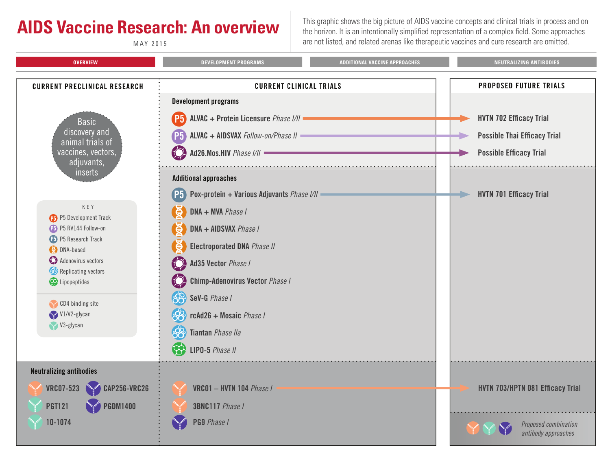<span id="page-0-0"></span>**AIDS Vaccine Research: An overview** This graphic shows the big picture of AIDS vaccine concepts and clinical trials in process and on the horizon. It is an intentionally simplified representation of a complex field. Some approaches MAY 2015 are not listed, and related arenas like therapeutic vaccines and cure research are omitted.

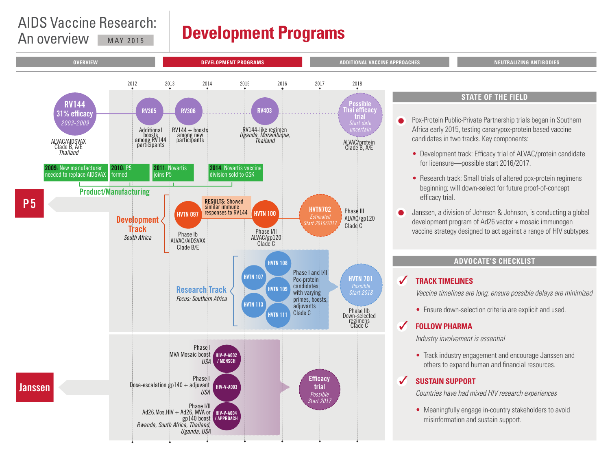### <span id="page-1-0"></span>AIDS Vaccine Research: An overview MAY 2015

## **Development Programs**

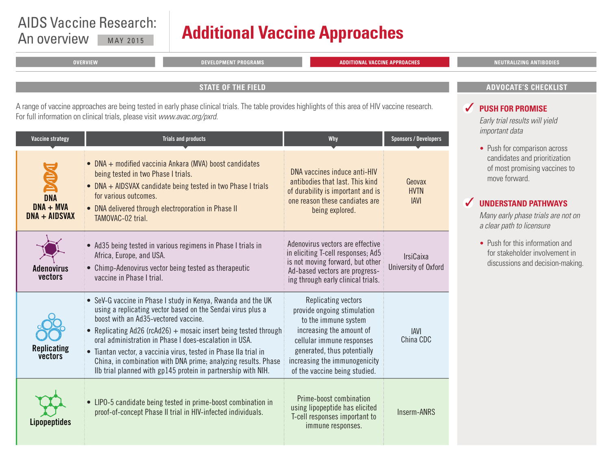# <span id="page-2-0"></span>AIDS Vaccine Research:

## An overview MAY 2015 **Additional Vaccine Approaches**

| <b>OVERVIEW</b>                                                          | <b>DEVELOPMENT PROGRAMS</b>                                                                                                                        | <b>ADDITIONAL VACCINE APPROACHES</b> | <b>NEUTRALIZING ANTIBODIES</b>                                                                                                                                          |
|--------------------------------------------------------------------------|----------------------------------------------------------------------------------------------------------------------------------------------------|--------------------------------------|-------------------------------------------------------------------------------------------------------------------------------------------------------------------------|
|                                                                          | <b>STATE OF THE FIELD</b>                                                                                                                          |                                      | <b>ADVOCATE'S CHECKLIST</b>                                                                                                                                             |
|                                                                          |                                                                                                                                                    |                                      |                                                                                                                                                                         |
| For full information on clinical trials, please visit www.avac.org/pxrd. | A range of vaccine approaches are being tested in early phase clinical trials. The table provides highlights of this area of HIV vaccine research. |                                      | V PUSH FOR PROMISE<br>Early trial results will yield<br>the contract of the contract of the contract of the contract of the contract of the contract of the contract of |

| <b>Vaccine strategy</b>                    | <b>Trials and products</b>                                                                                                                                                                                                                                                                                                                                                                                                                                                                                   | <b>Why</b>                                                                                                                                                                                                                           | <b>Sponsors / Developers</b>             |
|--------------------------------------------|--------------------------------------------------------------------------------------------------------------------------------------------------------------------------------------------------------------------------------------------------------------------------------------------------------------------------------------------------------------------------------------------------------------------------------------------------------------------------------------------------------------|--------------------------------------------------------------------------------------------------------------------------------------------------------------------------------------------------------------------------------------|------------------------------------------|
| <b>DNA</b><br>$DNA + MVA$<br>DNA + AIDSVAX | • DNA + modified vaccinia Ankara (MVA) boost candidates<br>being tested in two Phase I trials.<br>• DNA + AIDSVAX candidate being tested in two Phase I trials<br>for various outcomes.<br>• DNA delivered through electroporation in Phase II<br>TAMOVAC-02 trial.                                                                                                                                                                                                                                          | DNA vaccines induce anti-HIV<br>antibodies that last. This kind<br>of durability is important and is<br>one reason these candiates are<br>being explored.                                                                            | Geovax<br><b>HVTN</b><br><b>IAVI</b>     |
| <b>Adenovirus</b><br>vectors               | • Ad35 being tested in various regimens in Phase I trials in<br>Africa, Europe, and USA.<br>• Chimp-Adenovirus vector being tested as therapeutic<br>vaccine in Phase I trial.                                                                                                                                                                                                                                                                                                                               | Adenovirus vectors are effective<br>in eliciting T-cell responses; Ad5<br>is not moving forward, but other<br>Ad-based vectors are progress-<br>ing through early clinical trials.                                                   | <b>IrsiCaixa</b><br>University of Oxford |
| <b>Replicating</b><br>vectors              | • SeV-G vaccine in Phase I study in Kenya, Rwanda and the UK<br>using a replicating vector based on the Sendai virus plus a<br>boost with an Ad35-vectored vaccine.<br>• Replicating Ad26 ( $rcAd26$ ) + mosaic insert being tested through<br>oral administration in Phase I does-escalation in USA.<br>• Tiantan vector, a vaccinia virus, tested in Phase Ila trial in<br>China, in combination with DNA prime; analyzing results. Phase<br>Ilb trial planned with gp145 protein in partnership with NIH. | Replicating vectors<br>provide ongoing stimulation<br>to the immune system<br>increasing the amount of<br>cellular immune responses<br>generated, thus potentially<br>increasing the immunogenicity<br>of the vaccine being studied. | <b>IAVI</b><br>China CDC                 |
| <b>Lipopeptides</b>                        | • LIPO-5 candidate being tested in prime-boost combination in<br>proof-of-concept Phase II trial in HIV-infected individuals.                                                                                                                                                                                                                                                                                                                                                                                | Prime-boost combination<br>using lipopeptide has elicited<br>T-cell responses important to<br>immune responses.                                                                                                                      | Inserm-ANRS                              |

important data

• Push for comparison across candidates and prioritization of most promising vaccines to move forward.

### **UNDERSTAND PATHWAYS**

Many early phase trials are not on a clear path to licensure

• Push for this information and for stakeholder involvement in discussions and decision-making.